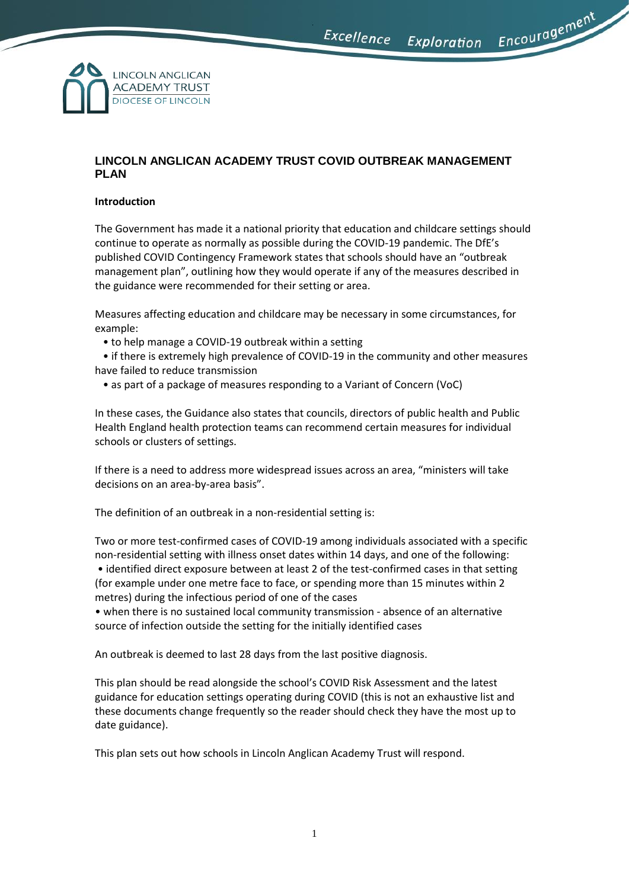Encouragement



# **LINCOLN ANGLICAN ACADEMY TRUST COVID OUTBREAK MANAGEMENT PLAN**

# **Introduction**

The Government has made it a national priority that education and childcare settings should continue to operate as normally as possible during the COVID-19 pandemic. The DfE's published COVID Contingency Framework states that schools should have an "outbreak management plan", outlining how they would operate if any of the measures described in the guidance were recommended for their setting or area.

Measures affecting education and childcare may be necessary in some circumstances, for example:

• to help manage a COVID-19 outbreak within a setting

 • if there is extremely high prevalence of COVID-19 in the community and other measures have failed to reduce transmission

• as part of a package of measures responding to a Variant of Concern (VoC)

In these cases, the Guidance also states that councils, directors of public health and Public Health England health protection teams can recommend certain measures for individual schools or clusters of settings.

If there is a need to address more widespread issues across an area, "ministers will take decisions on an area-by-area basis".

The definition of an outbreak in a non-residential setting is:

Two or more test-confirmed cases of COVID-19 among individuals associated with a specific non-residential setting with illness onset dates within 14 days, and one of the following: • identified direct exposure between at least 2 of the test-confirmed cases in that setting (for example under one metre face to face, or spending more than 15 minutes within 2 metres) during the infectious period of one of the cases

• when there is no sustained local community transmission - absence of an alternative source of infection outside the setting for the initially identified cases

An outbreak is deemed to last 28 days from the last positive diagnosis.

This plan should be read alongside the school's COVID Risk Assessment and the latest guidance for education settings operating during COVID (this is not an exhaustive list and these documents change frequently so the reader should check they have the most up to date guidance).

This plan sets out how schools in Lincoln Anglican Academy Trust will respond.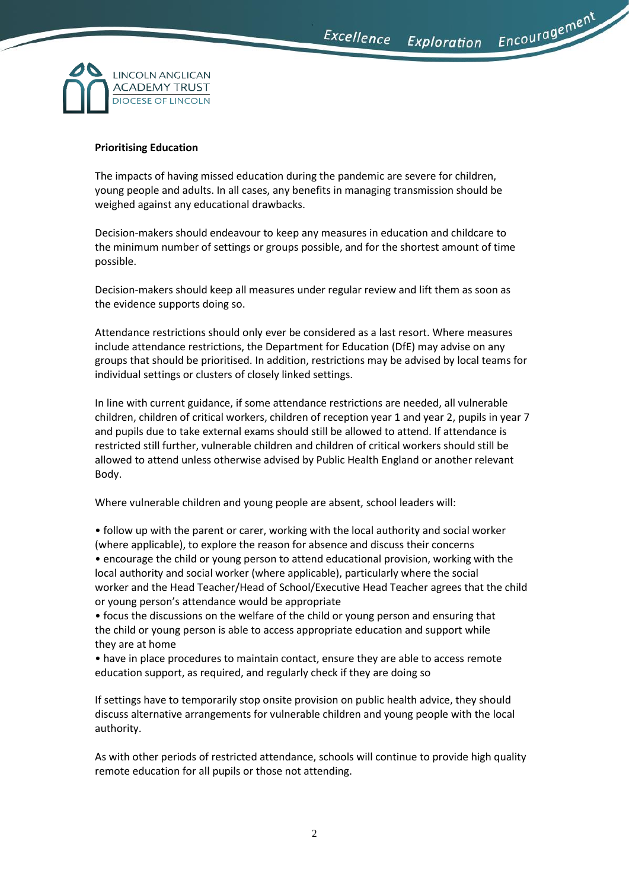Encouragement



### **Prioritising Education**

The impacts of having missed education during the pandemic are severe for children, young people and adults. In all cases, any benefits in managing transmission should be weighed against any educational drawbacks.

Decision-makers should endeavour to keep any measures in education and childcare to the minimum number of settings or groups possible, and for the shortest amount of time possible.

Decision-makers should keep all measures under regular review and lift them as soon as the evidence supports doing so.

Attendance restrictions should only ever be considered as a last resort. Where measures include attendance restrictions, the Department for Education (DfE) may advise on any groups that should be prioritised. In addition, restrictions may be advised by local teams for individual settings or clusters of closely linked settings.

In line with current guidance, if some attendance restrictions are needed, all vulnerable children, children of critical workers, children of reception year 1 and year 2, pupils in year 7 and pupils due to take external exams should still be allowed to attend. If attendance is restricted still further, vulnerable children and children of critical workers should still be allowed to attend unless otherwise advised by Public Health England or another relevant Body.

Where vulnerable children and young people are absent, school leaders will:

• follow up with the parent or carer, working with the local authority and social worker (where applicable), to explore the reason for absence and discuss their concerns • encourage the child or young person to attend educational provision, working with the local authority and social worker (where applicable), particularly where the social worker and the Head Teacher/Head of School/Executive Head Teacher agrees that the child or young person's attendance would be appropriate

• focus the discussions on the welfare of the child or young person and ensuring that the child or young person is able to access appropriate education and support while they are at home

• have in place procedures to maintain contact, ensure they are able to access remote education support, as required, and regularly check if they are doing so

If settings have to temporarily stop onsite provision on public health advice, they should discuss alternative arrangements for vulnerable children and young people with the local authority.

As with other periods of restricted attendance, schools will continue to provide high quality remote education for all pupils or those not attending.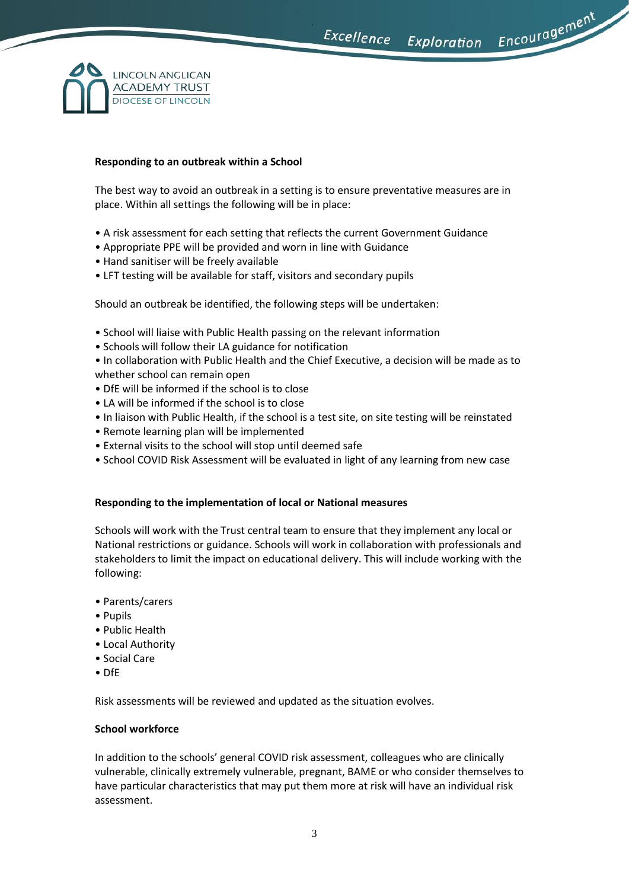Encouragement



# **Responding to an outbreak within a School**

The best way to avoid an outbreak in a setting is to ensure preventative measures are in place. Within all settings the following will be in place:

- A risk assessment for each setting that reflects the current Government Guidance
- Appropriate PPE will be provided and worn in line with Guidance
- Hand sanitiser will be freely available
- LFT testing will be available for staff, visitors and secondary pupils

Should an outbreak be identified, the following steps will be undertaken:

- School will liaise with Public Health passing on the relevant information
- Schools will follow their LA guidance for notification

• In collaboration with Public Health and the Chief Executive, a decision will be made as to whether school can remain open

- DfE will be informed if the school is to close
- LA will be informed if the school is to close
- In liaison with Public Health, if the school is a test site, on site testing will be reinstated
- Remote learning plan will be implemented
- External visits to the school will stop until deemed safe
- School COVID Risk Assessment will be evaluated in light of any learning from new case

# **Responding to the implementation of local or National measures**

Schools will work with the Trust central team to ensure that they implement any local or National restrictions or guidance. Schools will work in collaboration with professionals and stakeholders to limit the impact on educational delivery. This will include working with the following:

- Parents/carers
- Pupils
- Public Health
- Local Authority
- Social Care
- DfE

Risk assessments will be reviewed and updated as the situation evolves.

#### **School workforce**

In addition to the schools' general COVID risk assessment, colleagues who are clinically vulnerable, clinically extremely vulnerable, pregnant, BAME or who consider themselves to have particular characteristics that may put them more at risk will have an individual risk assessment.